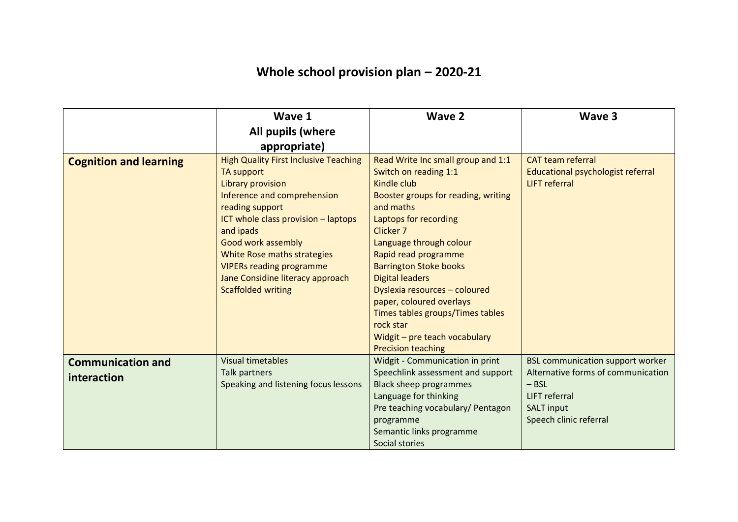## **Whole school provision plan – 2020-21**

|                                         | Wave 1                                                                                                                                                                                                                                                                                                                                                       | Wave 2                                                                                                                                                                                                                                                                                                                                                                                                                                                         | Wave 3                                                                                                                                                          |
|-----------------------------------------|--------------------------------------------------------------------------------------------------------------------------------------------------------------------------------------------------------------------------------------------------------------------------------------------------------------------------------------------------------------|----------------------------------------------------------------------------------------------------------------------------------------------------------------------------------------------------------------------------------------------------------------------------------------------------------------------------------------------------------------------------------------------------------------------------------------------------------------|-----------------------------------------------------------------------------------------------------------------------------------------------------------------|
|                                         | All pupils (where                                                                                                                                                                                                                                                                                                                                            |                                                                                                                                                                                                                                                                                                                                                                                                                                                                |                                                                                                                                                                 |
|                                         | appropriate)                                                                                                                                                                                                                                                                                                                                                 |                                                                                                                                                                                                                                                                                                                                                                                                                                                                |                                                                                                                                                                 |
| <b>Cognition and learning</b>           | <b>High Quality First Inclusive Teaching</b><br>TA support<br><b>Library provision</b><br>Inference and comprehension<br>reading support<br>ICT whole class provision - laptops<br>and ipads<br><b>Good work assembly</b><br>White Rose maths strategies<br><b>VIPERs reading programme</b><br>Jane Considine literacy approach<br><b>Scaffolded writing</b> | Read Write Inc small group and 1:1<br>Switch on reading 1:1<br>Kindle club<br>Booster groups for reading, writing<br>and maths<br>Laptops for recording<br>Clicker 7<br>Language through colour<br>Rapid read programme<br><b>Barrington Stoke books</b><br><b>Digital leaders</b><br>Dyslexia resources - coloured<br>paper, coloured overlays<br>Times tables groups/Times tables<br>rock star<br>Widgit - pre teach vocabulary<br><b>Precision teaching</b> | <b>CAT team referral</b><br>Educational psychologist referral<br><b>LIFT</b> referral                                                                           |
| <b>Communication and</b><br>interaction | <b>Visual timetables</b><br>Talk partners<br>Speaking and listening focus lessons                                                                                                                                                                                                                                                                            | <b>Widgit - Communication in print</b><br>Speechlink assessment and support<br><b>Black sheep programmes</b><br>Language for thinking<br>Pre teaching vocabulary/ Pentagon<br>programme<br>Semantic links programme<br>Social stories                                                                                                                                                                                                                          | <b>BSL communication support worker</b><br>Alternative forms of communication<br>$-$ BSL<br><b>LIFT</b> referral<br><b>SALT input</b><br>Speech clinic referral |